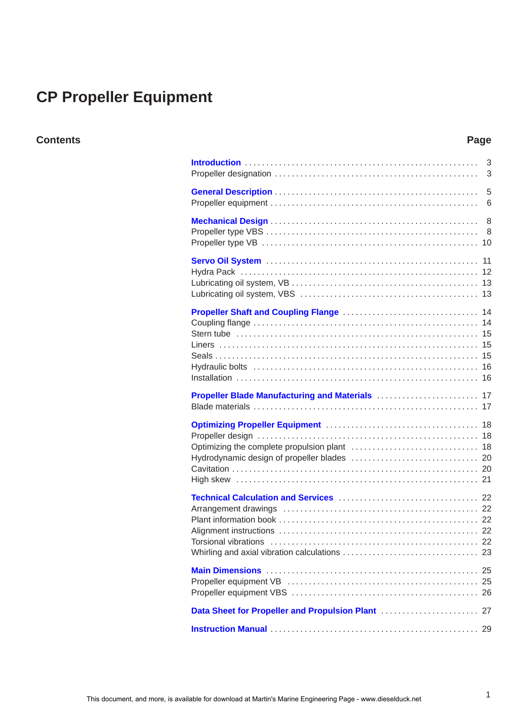# **CP Propeller Equipment**

# **Contents Page**

|                                               | 3<br>3 |
|-----------------------------------------------|--------|
|                                               | 5<br>6 |
|                                               |        |
|                                               |        |
|                                               |        |
|                                               |        |
|                                               |        |
|                                               |        |
|                                               |        |
| Data Sheet for Propeller and Propulsion Plant | 27     |
|                                               |        |
|                                               |        |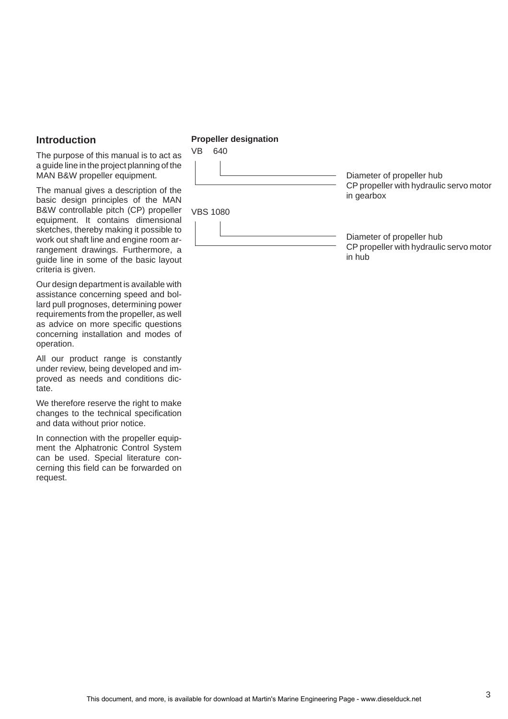# <span id="page-2-0"></span>**Introduction**

The purpose of this manual is to act as a guide line in the project planning of the MAN B&W propeller equipment.

The manual gives a description of the basic design principles of the MAN B&W controllable pitch (CP) propeller equipment. It contains dimensional sketches, thereby making it possible to work out shaft line and engine room arrangement drawings. Furthermore, a guide line in some of the basic layout criteria is given.

Our design department is available with assistance concerning speed and bollard pull prognoses, determining power requirements from the propeller, as well as advice on more specific questions concerning installation and modes of operation.

All our product range is constantly under review, being developed and improved as needs and conditions dictate.

We therefore reserve the right to make changes to the technical specification and data without prior notice.

In connection with the propeller equipment the Alphatronic Control System can be used. Special literature concerning this field can be forwarded on request.

# **Propeller designation**

VB 640



Diameter of propeller hub CP propeller with hydraulic servo motor in gearbox

VBS 1080



Diameter of propeller hub CP propeller with hydraulic servo motor in hub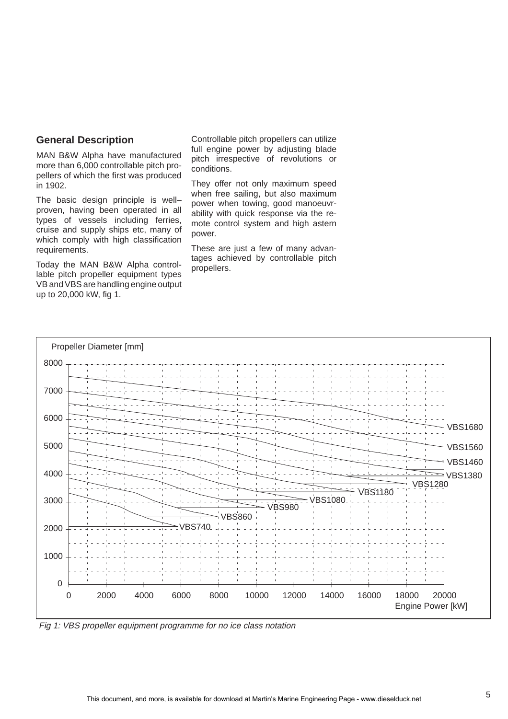# <span id="page-4-0"></span>**General Description**

MAN B&W Alpha have manufactured more than 6,000 controllable pitch propellers of which the first was produced in 1902.

The basic design principle is well– proven, having been operated in all types of vessels including ferries, cruise and supply ships etc, many of which comply with high classification requirements.

Today the MAN B&W Alpha controllable pitch propeller equipment types VB and VBS are handling engine output up to 20,000 kW, fig 1.

Controllable pitch propellers can utilize full engine power by adjusting blade pitch irrespective of revolutions or conditions.

They offer not only maximum speed when free sailing, but also maximum power when towing, good manoeuvrability with quick response via the remote control system and high astern power.

These are just a few of many advantages achieved by controllable pitch propellers.



Fig 1: VBS propeller equipment programme for no ice class notation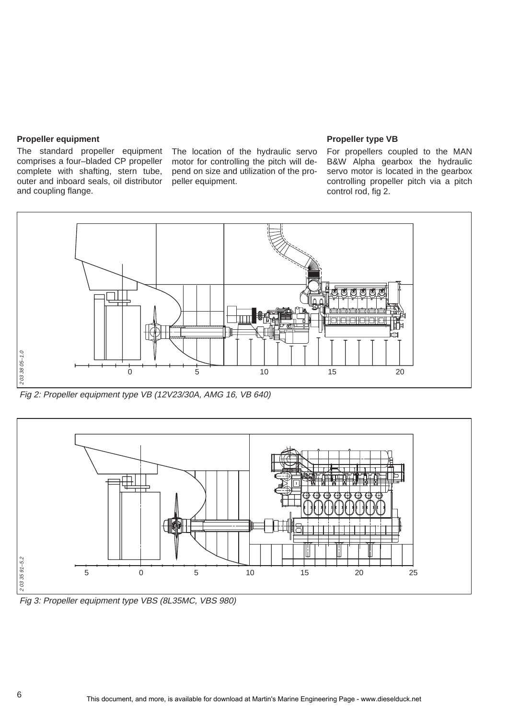## **Propeller equipment**

The standard propeller equipment The location of the hydraulic servo comprises a four–bladed CP propeller complete with shafting, stern tube, outer and inboard seals, oil distributor and coupling flange.

motor for controlling the pitch will depend on size and utilization of the propeller equipment.

#### **Propeller type VB**

For propellers coupled to the MAN B&W Alpha gearbox the hydraulic servo motor is located in the gearbox controlling propeller pitch via a pitch control rod, fig 2.



Fig 2: Propeller equipment type VB (12V23/30A, AMG 16, VB 640)



Fig 3: Propeller equipment type VBS (8L35MC, VBS 980)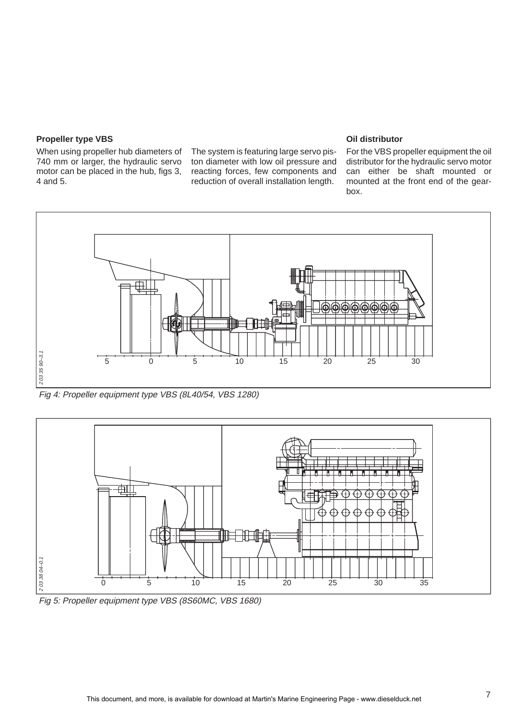# **Propeller type VBS**

When using propeller hub diameters of 740 mm or larger, the hydraulic servo motor can be placed in the hub, figs 3, 4 and 5.

The system is featuring large servo piston diameter with low oil pressure and reacting forces, few components and reduction of overall installation length.

#### **Oil distributor**

For the VBS propeller equipment the oil distributor for the hydraulic servo motor can either be shaft mounted or mounted at the front end of the gearbox.



Fig 4: Propeller equipment type VBS (8L40/54, VBS 1280)



Fig 5: Propeller equipment type VBS (8S60MC, VBS 1680)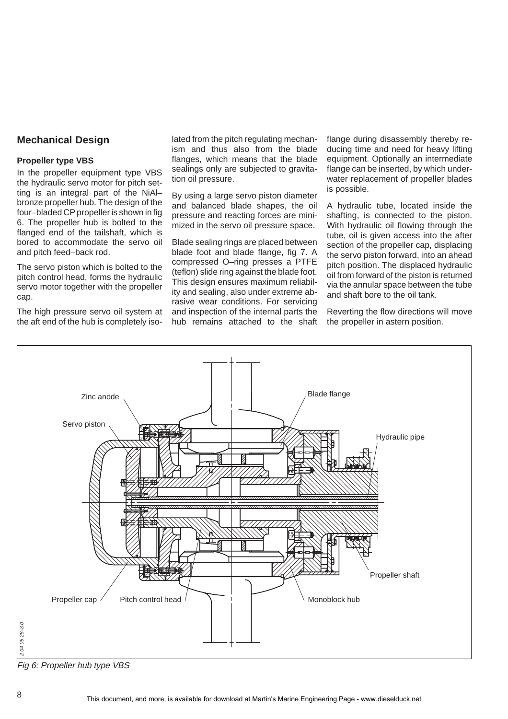# <span id="page-7-0"></span>**Mechanical Design**

#### **Propeller type VBS**

In the propeller equipment type VBS the hydraulic servo motor for pitch setting is an integral part of the NiAl– bronze propeller hub. The design of the four–bladed CP propeller is shown in fig 6. The propeller hub is bolted to the flanged end of the tailshaft, which is bored to accommodate the servo oil and pitch feed–back rod.

The servo piston which is bolted to the pitch control head, forms the hydraulic servo motor together with the propeller cap.

The high pressure servo oil system at the aft end of the hub is completely iso-

lated from the pitch regulating mechanism and thus also from the blade flanges, which means that the blade sealings only are subjected to gravitation oil pressure.

By using a large servo piston diameter and balanced blade shapes, the oil pressure and reacting forces are minimized in the servo oil pressure space.

Blade sealing rings are placed between blade foot and blade flange, fig 7. A compressed O–ring presses a PTFE (teflon) slide ring against the blade foot. This design ensures maximum reliability and sealing, also under extreme abrasive wear conditions. For servicing and inspection of the internal parts the hub remains attached to the shaft flange during disassembly thereby reducing time and need for heavy lifting equipment. Optionally an intermediate flange can be inserted, by which underwater replacement of propeller blades is possible.

A hydraulic tube, located inside the shafting, is connected to the piston. With hydraulic oil flowing through the tube, oil is given access into the after section of the propeller cap, displacing the servo piston forward, into an ahead pitch position. The displaced hydraulic oil from forward of the piston is returned via the annular space between the tube and shaft bore to the oil tank.

Reverting the flow directions will move the propeller in astern position.



Fig 6: Propeller hub type VBS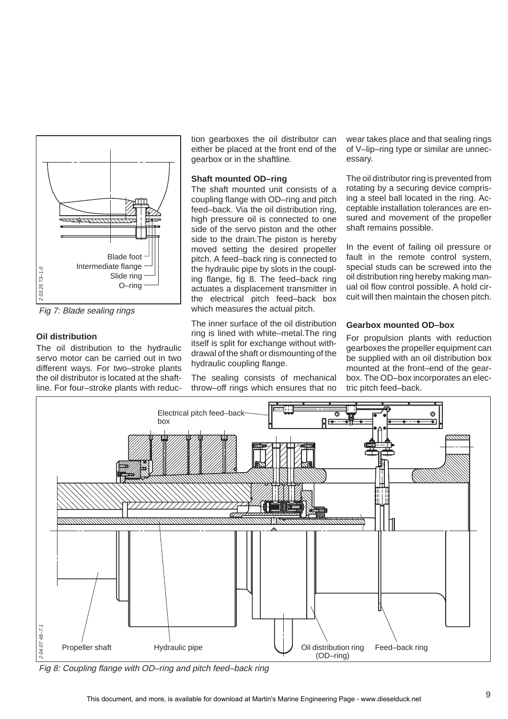

Fig 7: Blade sealing rings

# **Oil distribution**

The oil distribution to the hydraulic servo motor can be carried out in two different ways. For two–stroke plants the oil distributor is located at the shaftline. For four–stroke plants with reduction gearboxes the oil distributor can either be placed at the front end of the gearbox or in the shaftline.

# **Shaft mounted OD–ring**

The shaft mounted unit consists of a coupling flange with OD–ring and pitch feed–back. Via the oil distribution ring, high pressure oil is connected to one side of the servo piston and the other side to the drain.The piston is hereby moved setting the desired propeller pitch. A feed–back ring is connected to the hydraulic pipe by slots in the coupling flange, fig 8. The feed–back ring actuates a displacement transmitter in the electrical pitch feed–back box which measures the actual pitch.

The inner surface of the oil distribution ring is lined with white–metal.The ring itself is split for exchange without withdrawal of the shaft or dismounting of the hydraulic coupling flange.

The sealing consists of mechanical throw–off rings which ensures that no

wear takes place and that sealing rings of V–lip–ring type or similar are unnecessary.

The oil distributor ring is prevented from rotating by a securing device comprising a steel ball located in the ring. Acceptable installation tolerances are ensured and movement of the propeller shaft remains possible.

In the event of failing oil pressure or fault in the remote control system, special studs can be screwed into the oil distribution ring hereby making manual oil flow control possible. A hold circuit will then maintain the chosen pitch.

# **Gearbox mounted OD–box**

For propulsion plants with reduction gearboxes the propeller equipment can be supplied with an oil distribution box mounted at the front–end of the gearbox. The OD–box incorporates an electric pitch feed–back.



Fig 8: Coupling flange with OD–ring and pitch feed–back ring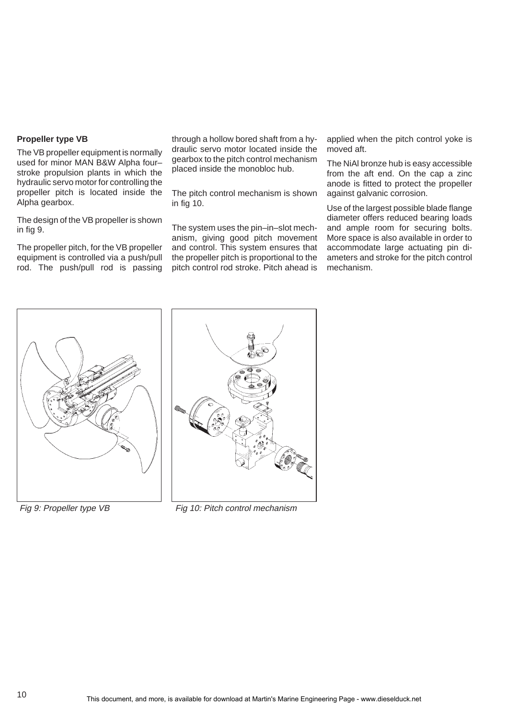# **Propeller type VB**

The VB propeller equipment is normally used for minor MAN B&W Alpha four– stroke propulsion plants in which the hydraulic servo motor for controlling the propeller pitch is located inside the Alpha gearbox.

The design of the VB propeller is shown in fig 9.

The propeller pitch, for the VB propeller equipment is controlled via a push/pull rod. The push/pull rod is passing

through a hollow bored shaft from a hydraulic servo motor located inside the gearbox to the pitch control mechanism placed inside the monobloc hub.

The pitch control mechanism is shown in fig 10.

The system uses the pin–in–slot mechanism, giving good pitch movement and control. This system ensures that the propeller pitch is proportional to the pitch control rod stroke. Pitch ahead is applied when the pitch control yoke is moved aft.

The NiAl bronze hub is easy accessible from the aft end. On the cap a zinc anode is fitted to protect the propeller against galvanic corrosion.

Use of the largest possible blade flange diameter offers reduced bearing loads and ample room for securing bolts. More space is also available in order to accommodate large actuating pin diameters and stroke for the pitch control mechanism.





Fig 9: Propeller type VB Fig 10: Pitch control mechanism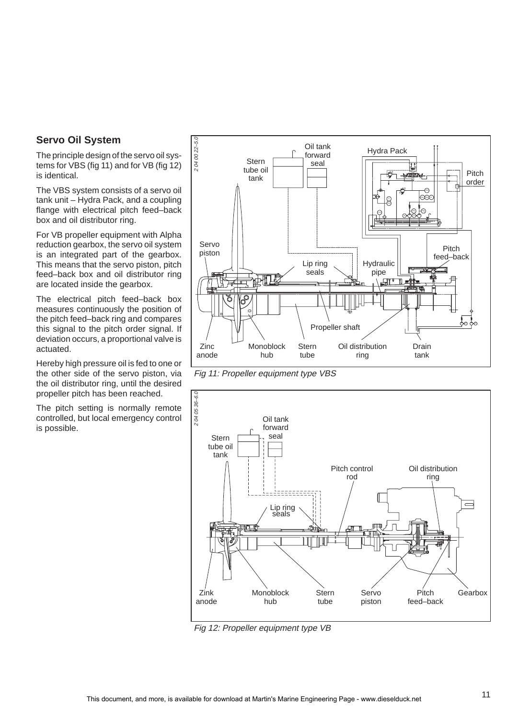# <span id="page-10-0"></span>**Servo Oil System**

The principle design of the servo oil systems for VBS (fig 11) and for VB (fig 12) is identical.

The VBS system consists of a servo oil tank unit – Hydra Pack, and a coupling flange with electrical pitch feed–back box and oil distributor ring.

For VB propeller equipment with Alpha reduction gearbox, the servo oil system is an integrated part of the gearbox. This means that the servo piston, pitch feed–back box and oil distributor ring are located inside the gearbox.

The electrical pitch feed–back box measures continuously the position of the pitch feed–back ring and compares this signal to the pitch order signal. If deviation occurs, a proportional valve is actuated.

Hereby high pressure oil is fed to one or the other side of the servo piston, via the oil distributor ring, until the desired propeller pitch has been reached.

The pitch setting is normally remote controlled, but local emergency control is possible.



Fig 11: Propeller equipment type VBS



Fig 12: Propeller equipment type VB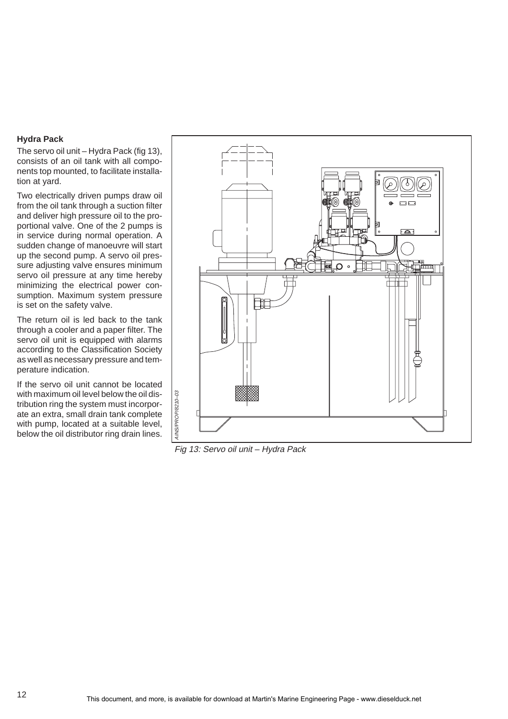# **Hydra Pack**

The servo oil unit – Hydra Pack (fig 13), consists of an oil tank with all components top mounted, to facilitate installation at yard.

Two electrically driven pumps draw oil from the oil tank through a suction filter and deliver high pressure oil to the proportional valve. One of the 2 pumps is in service during normal operation. A sudden change of manoeuvre will start up the second pump. A servo oil pressure adjusting valve ensures minimum servo oil pressure at any time hereby minimizing the electrical power consumption. Maximum system pressure is set on the safety valve.

The return oil is led back to the tank through a cooler and a paper filter. The servo oil unit is equipped with alarms according to the Classification Society as well as necessary pressure and temperature indication.

If the servo oil unit cannot be located with maximum oil level below the oil distribution ring the system must incorporate an extra, small drain tank complete with pump, located at a suitable level, below the oil distributor ring drain lines.



Fig 13: Servo oil unit – Hydra Pack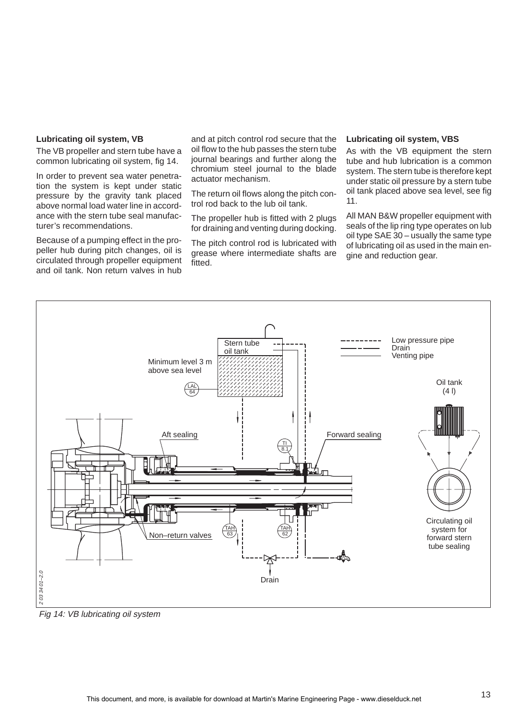#### **Lubricating oil system, VB**

The VB propeller and stern tube have a common lubricating oil system, fig 14.

In order to prevent sea water penetration the system is kept under static pressure by the gravity tank placed above normal load water line in accordance with the stern tube seal manufacturer's recommendations.

Because of a pumping effect in the propeller hub during pitch changes, oil is circulated through propeller equipment and oil tank. Non return valves in hub

and at pitch control rod secure that the oil flow to the hub passes the stern tube journal bearings and further along the chromium steel journal to the blade actuator mechanism.

The return oil flows along the pitch control rod back to the lub oil tank.

The propeller hub is fitted with 2 plugs for draining and venting during docking.

The pitch control rod is lubricated with grease where intermediate shafts are fitted.

#### **Lubricating oil system, VBS**

As with the VB equipment the stern tube and hub lubrication is a common system. The stern tube is therefore kept under static oil pressure by a stern tube oil tank placed above sea level, see fig 11.

All MAN B&W propeller equipment with seals of the lip ring type operates on lub oil type SAE 30 – usually the same type of lubricating oil as used in the main engine and reduction gear.



Fig 14: VB lubricating oil system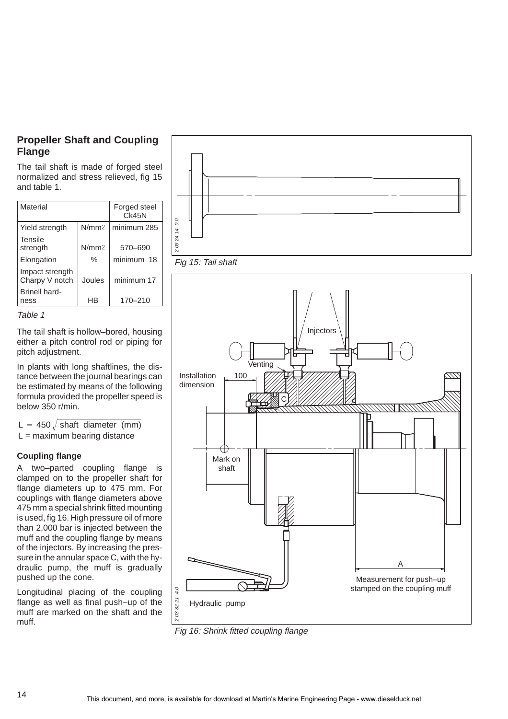# <span id="page-13-0"></span>**Propeller Shaft and Coupling Flange**

The tail shaft is made of forged steel normalized and stress relieved, fig 15 and table 1.

| Material                          | Forged steel<br>CK45N |             |  |
|-----------------------------------|-----------------------|-------------|--|
| Yield strength                    | N/mm <sub>2</sub>     | minimum 285 |  |
| Tensile<br>strength               | N/mm <sub>2</sub>     | 570-690     |  |
| Elongation                        | $\%$                  | minimum 18  |  |
| Impact strength<br>Charpy V notch | Joules                | minimum 17  |  |
| <b>Brinell hard-</b><br>ness      | HR                    | 170-210     |  |



The tail shaft is hollow–bored, housing either a pitch control rod or piping for pitch adjustment.

In plants with long shaftlines, the distance between the journal bearings can be estimated by means of the following formula provided the propeller speed is below 350 r/min.

 $L = 450 \sqrt{\text{shaft diameter (mm)}}$  $L =$  maximum bearing distance

# **Coupling flange**

A two–parted coupling flange is clamped on to the propeller shaft for flange diameters up to 475 mm. For couplings with flange diameters above 475 mm a special shrink fitted mounting is used, fig 16. High pressure oil of more than 2,000 bar is injected between the muff and the coupling flange by means of the injectors. By increasing the pressure in the annular space C, with the hydraulic pump, the muff is gradually pushed up the cone.

Longitudinal placing of the coupling flange as well as final push–up of the muff are marked on the shaft and the muff.





Fig 16: Shrink fitted coupling flange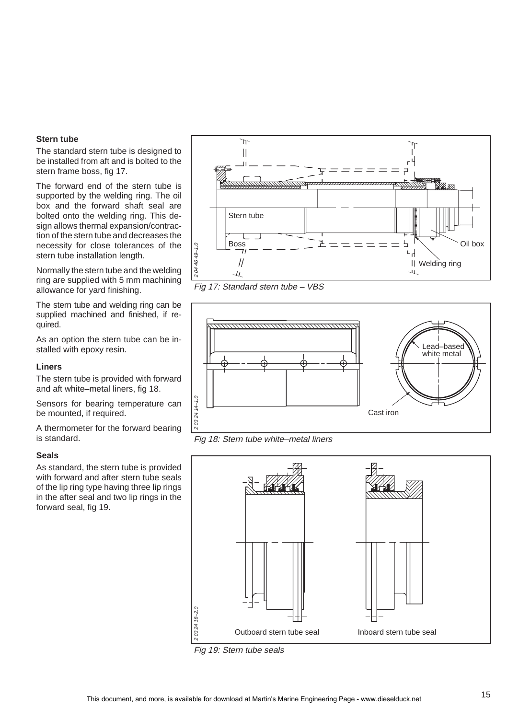#### **Stern tube**

The standard stern tube is designed to be installed from aft and is bolted to the stern frame boss, fig 17.

The forward end of the stern tube is supported by the welding ring. The oil box and the forward shaft seal are bolted onto the welding ring. This design allows thermal expansion/contraction of the stern tube and decreases the necessity for close tolerances of the stern tube installation length.

Normally the stern tube and the welding ring are supplied with 5 mm machining allowance for yard finishing.

The stern tube and welding ring can be supplied machined and finished, if required.

As an option the stern tube can be installed with epoxy resin.

#### **Liners**

The stern tube is provided with forward and aft white–metal liners, fig 18.

Sensors for bearing temperature can be mounted, if required.

A thermometer for the forward bearing is standard.

#### **Seals**

As standard, the stern tube is provided with forward and after stern tube seals of the lip ring type having three lip rings in the after seal and two lip rings in the forward seal, fig 19.



Fig 17: Standard stern tube – VBS



Fig 18: Stern tube white–metal liners



Fig 19: Stern tube seals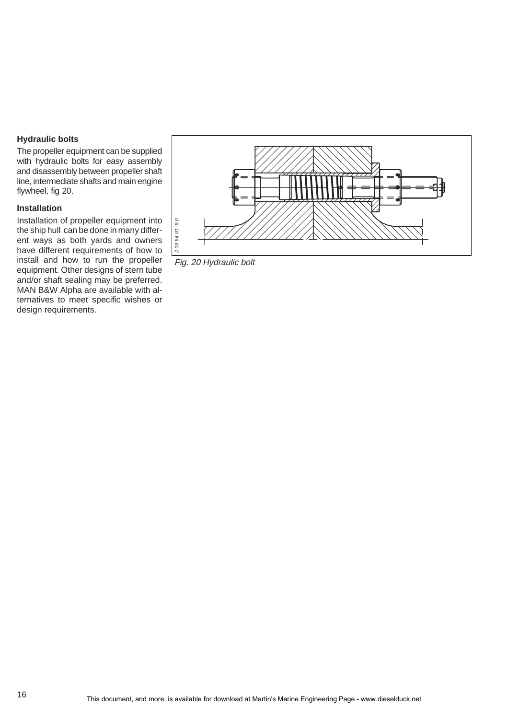# **Hydraulic bolts**

The propeller equipment can be supplied with hydraulic bolts for easy assembly and disassembly between propeller shaft line, intermediate shafts and main engine flywheel, fig 20.

# **Installation**

Installation of propeller equipment into the ship hull can be done in many different ways as both yards and owners have different requirements of how to install and how to run the propeller equipment. Other designs of stern tube and/or shaft sealing may be preferred. MAN B&W Alpha are available with alternatives to meet specific wishes or design requirements.



Fig. 20 Hydraulic bolt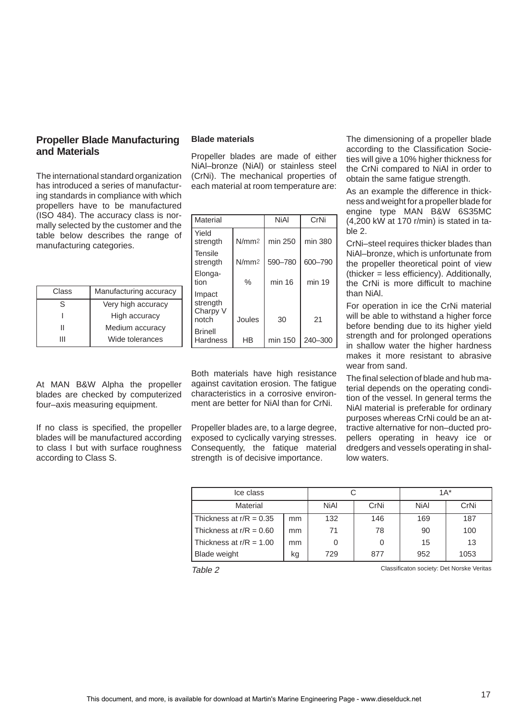# <span id="page-16-0"></span>**Propeller Blade Manufacturing and Materials**

The international standard organization has introduced a series of manufacturing standards in compliance with which propellers have to be manufactured (ISO 484). The accuracy class is normally selected by the customer and the table below describes the range of manufacturing categories.

| Class | Manufacturing accuracy |  |  |
|-------|------------------------|--|--|
| S     | Very high accuracy     |  |  |
|       | High accuracy          |  |  |
|       | Medium accuracy        |  |  |
| ш     | Wide tolerances        |  |  |

At MAN B&W Alpha the propeller blades are checked by computerized four–axis measuring equipment.

If no class is specified, the propeller blades will be manufactured according to class I but with surface roughness according to Class S.

# **Blade materials**

Propeller blades are made of either NiAl–bronze (NiAl) or stainless steel (CrNi). The mechanical properties of each material at room temperature are:

| Material                                |                   | NiAl    | CrNi    |  |
|-----------------------------------------|-------------------|---------|---------|--|
| Yield<br>strength                       | N/mm <sub>2</sub> | min 250 | min 380 |  |
| Tensile<br>strength                     | N/mm2             | 590-780 | 600-790 |  |
| Elonga-<br>tion                         | %                 | min 16  | min 19  |  |
| Impact<br>strength<br>Charpy V<br>notch | Joules            | 30      | 21      |  |
| <b>Brinell</b><br>Hardness              | ΗB                | min 150 | 240-300 |  |

Both materials have high resistance against cavitation erosion. The fatigue characteristics in a corrosive environment are better for NiAl than for CrNi.

Propeller blades are, to a large degree, exposed to cyclically varying stresses. Consequently, the fatique material strength is of decisive importance.

The dimensioning of a propeller blade according to the Classification Societies will give a 10% higher thickness for the CrNi compared to NiAl in order to obtain the same fatigue strength.

As an example the difference in thickness and weight for a propeller blade for engine type MAN B&W 6S35MC (4,200 kW at 170 r/min) is stated in table 2.

CrNi–steel requires thicker blades than NiAl–bronze, which is unfortunate from the propeller theoretical point of view (thicker = less efficiency). Additionally, the CrNi is more difficult to machine than NiAl.

For operation in ice the CrNi material will be able to withstand a higher force before bending due to its higher yield strength and for prolonged operations in shallow water the higher hardness makes it more resistant to abrasive wear from sand.

The final selection of blade and hub material depends on the operating condition of the vessel. In general terms the NiAl material is preferable for ordinary purposes whereas CrNi could be an attractive alternative for non–ducted propellers operating in heavy ice or dredgers and vessels operating in shallow waters.

| Ice class                 |    |             |      | $1A^*$      |      |
|---------------------------|----|-------------|------|-------------|------|
| Material                  |    | <b>NiAl</b> | CrNi | <b>NiAl</b> | CrNi |
| Thickness at $r/R = 0.35$ | mm | 132         | 146  | 169         | 187  |
| Thickness at $r/R = 0.60$ | mm | 71          | 78   | 90          | 100  |
| Thickness at $r/R = 1.00$ | mm |             |      | 15          | 13   |
| <b>Blade weight</b>       | kg | 729         | 877  | 952         | 1053 |

Table 2 Classificaton society: Det Norske Veritas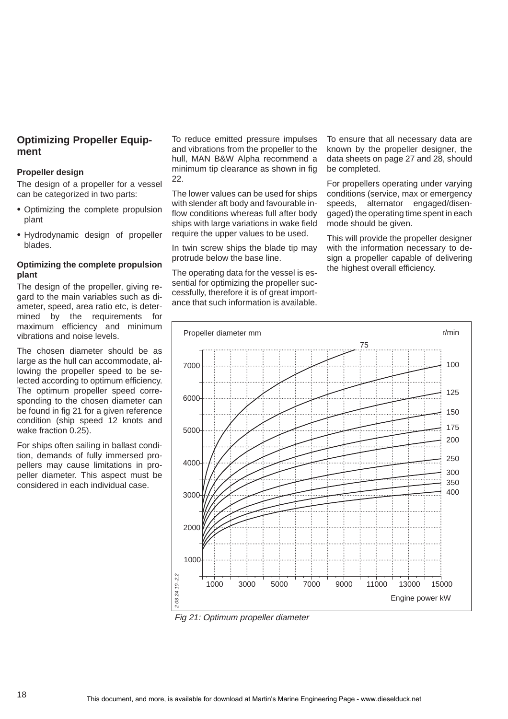# <span id="page-17-0"></span>**Optimizing Propeller Equipment**

#### **Propeller design**

The design of a propeller for a vessel can be categorized in two parts:

- Optimizing the complete propulsion plant
- Hydrodynamic design of propeller blades.

# **Optimizing the complete propulsion plant**

The design of the propeller, giving regard to the main variables such as diameter, speed, area ratio etc, is determined by the requirements for maximum efficiency and minimum vibrations and noise levels.

The chosen diameter should be as large as the hull can accommodate, allowing the propeller speed to be selected according to optimum efficiency. The optimum propeller speed corresponding to the chosen diameter can be found in fig 21 for a given reference condition (ship speed 12 knots and wake fraction 0.25).

For ships often sailing in ballast condition, demands of fully immersed propellers may cause limitations in propeller diameter. This aspect must be considered in each individual case.

To reduce emitted pressure impulses and vibrations from the propeller to the hull, MAN B&W Alpha recommend a minimum tip clearance as shown in fig 22.

The lower values can be used for ships with slender aft body and favourable inflow conditions whereas full after body ships with large variations in wake field require the upper values to be used.

In twin screw ships the blade tip may protrude below the base line.

The operating data for the vessel is essential for optimizing the propeller successfully, therefore it is of great importance that such information is available. To ensure that all necessary data are known by the propeller designer, the data sheets on page 27 and 28, should be completed.

For propellers operating under varying conditions (service, max or emergency speeds, alternator engaged/disengaged) the operating time spent in each mode should be given.

This will provide the propeller designer with the information necessary to design a propeller capable of delivering the highest overall efficiency.



Fig 21: Optimum propeller diameter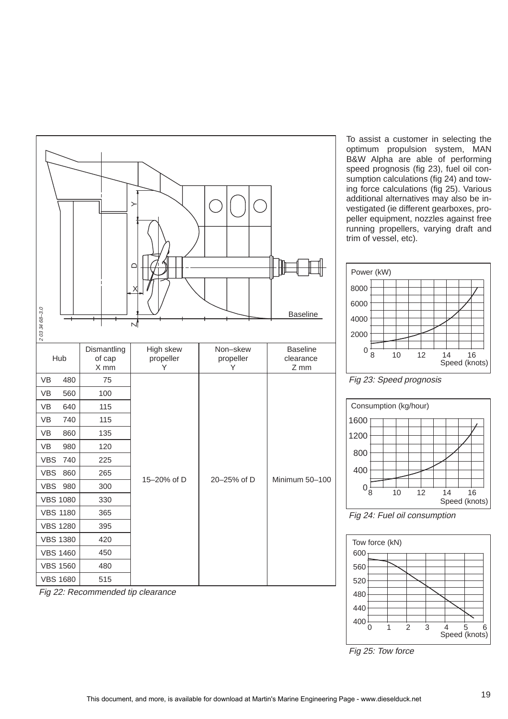

Fig 22: Recommended tip clearance

To assist a customer in selecting the optimum propulsion system, MAN B&W Alpha are able of performing speed prognosis (fig 23), fuel oil consumption calculations (fig 24) and towing force calculations (fig 25). Various additional alternatives may also be investigated (ie different gearboxes, propeller equipment, nozzles against free running propellers, varying draft and trim of vessel, etc).







Fig 24: Fuel oil consumption



Fig 25: Tow force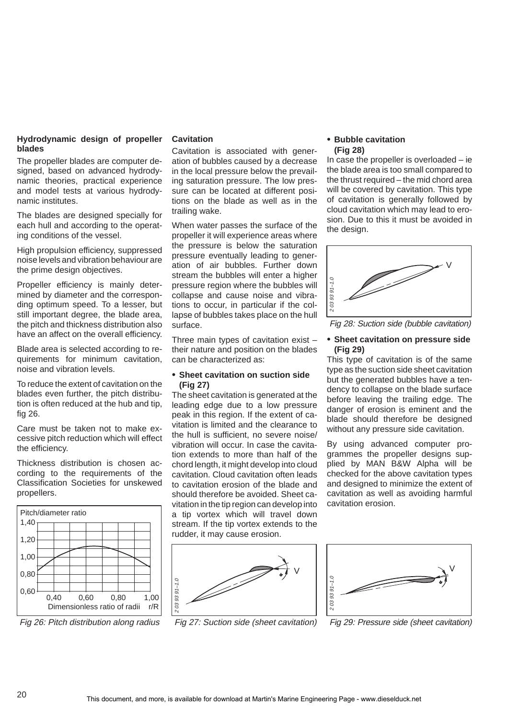#### **Hydrodynamic design of propeller blades**

The propeller blades are computer designed, based on advanced hydrodynamic theories, practical experience and model tests at various hydrodynamic institutes.

The blades are designed specially for each hull and according to the operating conditions of the vessel.

High propulsion efficiency, suppressed noise levels and vibration behaviour are the prime design objectives.

Propeller efficiency is mainly determined by diameter and the corresponding optimum speed. To a lesser, but still important degree, the blade area, the pitch and thickness distribution also have an affect on the overall efficiency.

Blade area is selected according to requirements for minimum cavitation, noise and vibration levels.

To reduce the extent of cavitation on the blades even further, the pitch distribution is often reduced at the hub and tip, fig 26.

Care must be taken not to make excessive pitch reduction which will effect the efficiency.

Thickness distribution is chosen according to the requirements of the Classification Societies for unskewed propellers.



Fig 26: Pitch distribution along radius

## **Cavitation**

Cavitation is associated with generation of bubbles caused by a decrease in the local pressure below the prevailing saturation pressure. The low pressure can be located at different positions on the blade as well as in the trailing wake.

When water passes the surface of the propeller it will experience areas where the pressure is below the saturation pressure eventually leading to generation of air bubbles. Further down stream the bubbles will enter a higher pressure region where the bubbles will collapse and cause noise and vibrations to occur, in particular if the collapse of bubbles takes place on the hull surface.

Three main types of cavitation exist – their nature and position on the blades can be characterized as:

# **Sheet cavitation on suction side (Fig 27)**

The sheet cavitation is generated at the leading edge due to a low pressure peak in this region. If the extent of cavitation is limited and the clearance to the hull is sufficient, no severe noise/ vibration will occur. In case the cavitation extends to more than half of the chord length, it might develop into cloud cavitation. Cloud cavitation often leads to cavitation erosion of the blade and should therefore be avoided. Sheet cavitation in the tip region can develop into a tip vortex which will travel down stream. If the tip vortex extends to the rudder, it may cause erosion.



Fig 27: Suction side (sheet cavitation)

# **Bubble cavitation (Fig 28)**

In case the propeller is overloaded – ie the blade area is too small compared to the thrust required – the mid chord area will be covered by cavitation. This type of cavitation is generally followed by cloud cavitation which may lead to erosion. Due to this it must be avoided in the design.



Fig 28: Suction side (bubble cavitation)

# **Sheet cavitation on pressure side (Fig 29)**

This type of cavitation is of the same type as the suction side sheet cavitation but the generated bubbles have a tendency to collapse on the blade surface before leaving the trailing edge. The danger of erosion is eminent and the blade should therefore be designed without any pressure side cavitation.

By using advanced computer programmes the propeller designs supplied by MAN B&W Alpha will be checked for the above cavitation types and designed to minimize the extent of cavitation as well as avoiding harmful cavitation erosion.



Fig 29: Pressure side (sheet cavitation)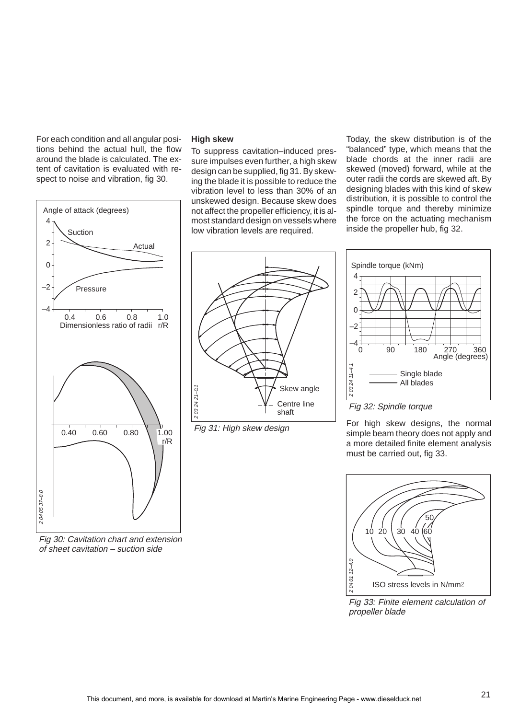For each condition and all angular positions behind the actual hull, the flow around the blade is calculated. The extent of cavitation is evaluated with respect to noise and vibration, fig 30.



Fig 30: Cavitation chart and extension of sheet cavitation – suction side

#### **High skew**

To suppress cavitation–induced pressure impulses even further, a high skew design can be supplied, fig 31. By skewing the blade it is possible to reduce the vibration level to less than 30% of an unskewed design. Because skew does not affect the propeller efficiency, it is almost standard design on vessels where low vibration levels are required.

Today, the skew distribution is of the "balanced" type, which means that the blade chords at the inner radii are skewed (moved) forward, while at the outer radii the cords are skewed aft. By designing blades with this kind of skew distribution, it is possible to control the spindle torque and thereby minimize the force on the actuating mechanism inside the propeller hub, fig 32.



Fig 31: High skew design



# Fig 32: Spindle torque

For high skew designs, the normal simple beam theory does not apply and a more detailed finite element analysis must be carried out, fig 33.



Fig 33: Finite element calculation of propeller blade